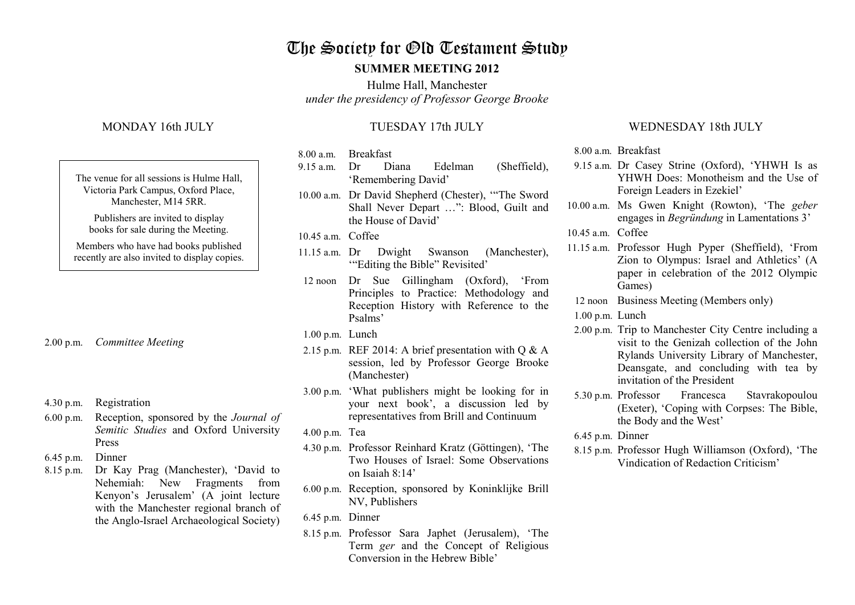# The Society for Old Testament Study

#### **SUMMER MEETING 2012**

Hulme Hall, Manchester *under the presidency of Professor George Brooke*

## MONDAY 16th JULY

| The venue for all sessions is Hulme Hall,<br>Victoria Park Campus, Oxford Place,<br>Manchester, M14 5RR. |
|----------------------------------------------------------------------------------------------------------|
| Publishers are invited to display<br>books for sale during the Meeting.                                  |
| Members who have had books published<br>recently are also invited to display copies.                     |
|                                                                                                          |
|                                                                                                          |

- 2.00 p.m. *Committee Meeting*
- 4.30 p.m. Registration
- 6.00 p.m. Reception, sponsored by the *Journal of Semitic Studies* and Oxford University Press
- 6.45 p.m. Dinner
- 8.15 p.m. Dr Kay Prag (Manchester), 'David to Nehemiah: New Fragments from Kenyon's Jerusalem' (A joint lecture with the Manchester regional branch of the Anglo-Israel Archaeological Society)

### TUESDAY 17th JULY

- 8.00 a.m. Breakfast
- 9.15 a.m. Dr Diana Edelman (Sheffield), 'Remembering David'
- 10.00 a.m. Dr David Shepherd (Chester), '"The Sword Shall Never Depart …": Blood, Guilt and the House of David'
- 10.45 a.m. Coffee
- 11.15 a.m. Dr Dwight Swanson (Manchester), '"Editing the Bible" Revisited'
- 12 noon Dr Sue Gillingham (Oxford), 'From Principles to Practice: Methodology and Reception History with Reference to the Psalms'
- 1.00 p.m. Lunch
- 2.15 p.m. REF 2014: A brief presentation with  $\overline{O}$  & A session, led by Professor George Brooke (Manchester)
- 3.00 p.m. 'What publishers might be looking for in your next book', a discussion led by representatives from Brill and Continuum
- 4.00 p.m. Tea
- 4.30 p.m. Professor Reinhard Kratz (Göttingen), 'The Two Houses of Israel: Some Observations on Isaiah 8:14'
- 6.00 p.m. Reception, sponsored by Koninklijke Brill NV, Publishers
- 6.45 p.m. Dinner
- 8.15 p.m. Professor Sara Japhet (Jerusalem), 'The Term *ger* and the Concept of Religious Conversion in the Hebrew Bible'

#### WEDNESDAY 18th JULY

8.00 a.m. Breakfast

- 9.15 a.m. Dr Casey Strine (Oxford), 'YHWH Is as YHWH Does: Monotheism and the Use of Foreign Leaders in Ezekiel'
- 10.00 a.m. Ms Gwen Knight (Rowton), 'The *geber*engages in *Begründung* in Lamentations 3'
- 10.45 a.m. Coffee
- 11.15 a.m. Professor Hugh Pyper (Sheffield), 'From Zion to Olympus: Israel and Athletics' (A paper in celebration of the 2012 Olympic Games)
- 12 noon Business Meeting (Members only)
- 1.00 p.m. Lunch
- 2.00 p.m. Trip to Manchester City Centre including a visit to the Genizah collection of the John Rylands University Library of Manchester, Deansgate, and concluding with tea by invitation of the President
- 5.30 p.m. Professor Francesca Stavrakopoulou (Exeter), 'Coping with Corpses: The Bible, the Body and the West'
- 6.45 p.m. Dinner
- 8.15 p.m. Professor Hugh Williamson (Oxford), 'The Vindication of Redaction Criticism'